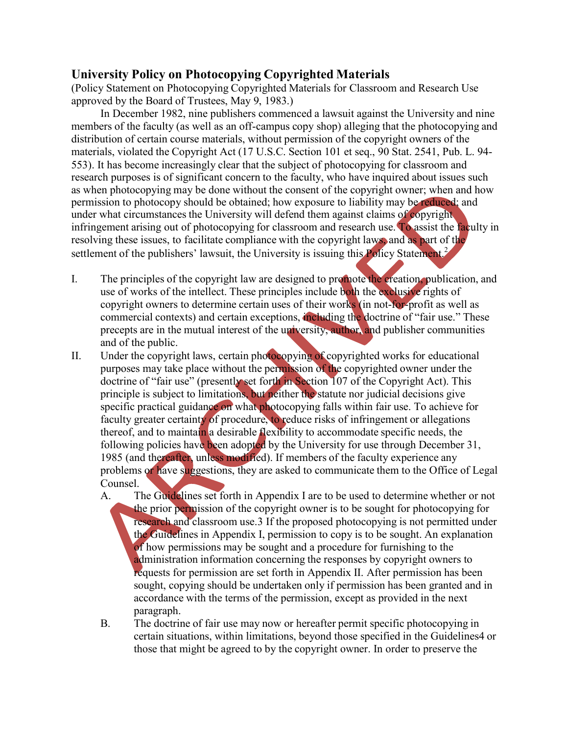## **University Policy on Photocopying Copyrighted Materials**

(Policy Statement on Photocopying Copyrighted Materials for Classroom and Research Use approved by the Board of Trustees, May 9, 1983.)

In December 1982, nine publishers commenced a lawsuit against the University and nine members of the faculty (as well as an off-campus copy shop) alleging that the photocopying and distribution of certain course materials, without permission of the copyright owners of the materials, violated the Copyright Act (17 U.S.C. Section 101 et seq., 90 Stat. 2541, Pub. L. 94- 553). It has become increasingly clear that the subject of photocopying for classroom and research purposes is of significant concern to the faculty, who have inquired about issues such as when photocopying may be done without the consent of the copyright owner; when and how permission to photocopy should be obtained; how exposure to liability may be reduced; and under what circumstances the University will defend them against claims of copyright infringement arising out of photocopying for classroom and research use. To assist the faculty in resolving these issues, to facilitate compliance with the copyright laws, and as part of the settlement of the publishers' lawsuit, the University is issuing this Policy Statement.<sup>2</sup>

- I. The principles of the copyright law are designed to promote the creation, publication, and use of works of the intellect. These principles include both the exclusive rights of copyright owners to determine certain uses of their works (in not-for-profit as well as commercial contexts) and certain exceptions, including the doctrine of "fair use." These precepts are in the mutual interest of the university, author, and publisher communities and of the public.
- II. Under the copyright laws, certain photocopying of copyrighted works for educational purposes may take place without the permission of the copyrighted owner under the doctrine of "fair use" (presently set forth in Section 107 of the Copyright Act). This principle is subject to limitations, but neither the statute nor judicial decisions give specific practical guidance on what photocopying falls within fair use. To achieve for faculty greater certainty of procedure, to reduce risks of infringement or allegations thereof, and to maintain a desirable flexibility to accommodate specific needs, the following policies have been adopted by the University for use through December 31, 1985 (and thereafter, unless modified). If members of the faculty experience any problems or have suggestions, they are asked to communicate them to the Office of Legal Counsel.
	- A. The Guidelines set forth in Appendix I are to be used to determine whether or not the prior permission of the copyright owner is to be sought for photocopying for research and classroom use.3 If the proposed photocopying is not permitted under the Guidelines in Appendix I, permission to copy is to be sought. An explanation of how permissions may be sought and a procedure for furnishing to the administration information concerning the responses by copyright owners to requests for permission are set forth in Appendix II. After permission has been sought, copying should be undertaken only if permission has been granted and in accordance with the terms of the permission, except as provided in the next paragraph.
	- B. The doctrine of fair use may now or hereafter permit specific photocopying in certain situations, within limitations, beyond those specified in the Guidelines4 or those that might be agreed to by the copyright owner. In order to preserve the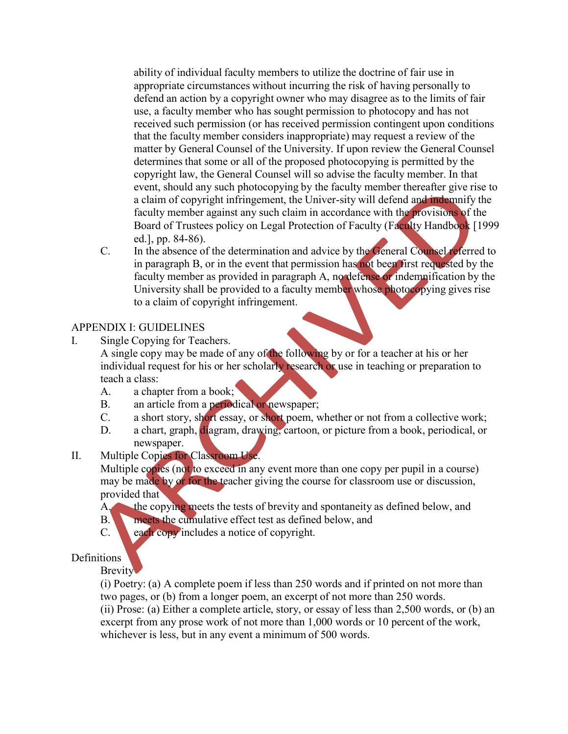ability of individual faculty members to utilize the doctrine of fair use in appropriate circumstances without incurring the risk of having personally to defend an action by a copyright owner who may disagree as to the limits of fair use, a faculty member who has sought permission to photocopy and has not received such permission (or has received permission contingent upon conditions that the faculty member considers inappropriate) may request a review of the matter by General Counsel of the University. If upon review the General Counsel determines that some or all of the proposed photocopying is permitted by the copyright law, the General Counsel will so advise the faculty member. In that event, should any such photocopying by the faculty member thereafter give rise to a claim of copyright infringement, the Univer-sity will defend and indemnify the faculty member against any such claim in accordance with the provisions of the Board of Trustees policy on Legal Protection of Faculty (Faculty Handbook [1999] ed.], pp. 84-86).

C. In the absence of the determination and advice by the General Counsel referred to in paragraph B, or in the event that permission has not been first requested by the faculty member as provided in paragraph A, no defense or indemnification by the University shall be provided to a faculty member whose photocopying gives rise to a claim of copyright infringement.

#### APPENDIX I: GUIDELINES

I. Single Copying for Teachers.

A single copy may be made of any of the following by or for a teacher at his or her individual request for his or her scholarly research or use in teaching or preparation to teach a class:

- A. a chapter from a book;
- B. an article from a periodical or newspaper;
- C. a short story, short essay, or short poem, whether or not from a collective work;
- D. a chart, graph, diagram, drawing, cartoon, or picture from a book, periodical, or newspaper.
- II. Multiple Copies for Classroom Use.

Multiple copies (not to exceed in any event more than one copy per pupil in a course) may be made by or for the teacher giving the course for classroom use or discussion, provided that

- A. the copying meets the tests of brevity and spontaneity as defined below, and
- B. meets the cumulative effect test as defined below, and
- C. each copy includes a notice of copyright.

# **Definitions**

Brevity

(i) Poetry: (a) A complete poem if less than 250 words and if printed on not more than two pages, or (b) from a longer poem, an excerpt of not more than 250 words. (ii) Prose: (a) Either a complete article, story, or essay of less than 2,500 words, or (b) an excerpt from any prose work of not more than 1,000 words or 10 percent of the work, whichever is less, but in any event a minimum of 500 words.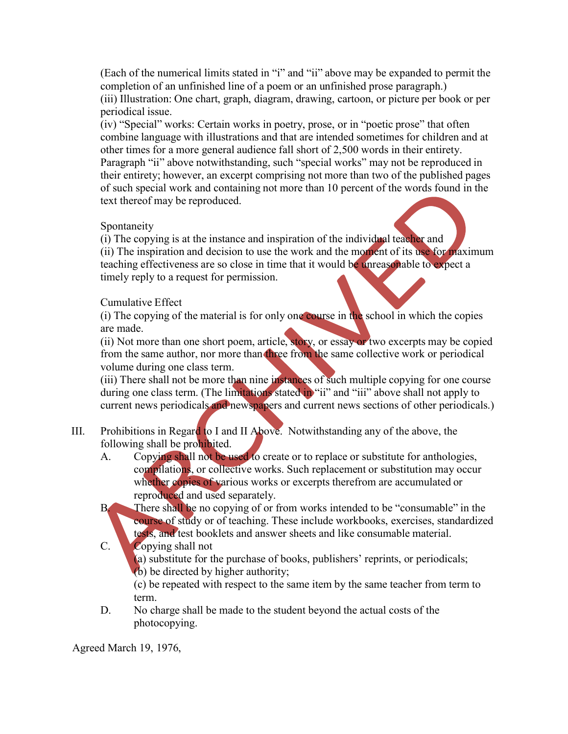(Each of the numerical limits stated in "i" and "ii" above may be expanded to permit the completion of an unfinished line of a poem or an unfinished prose paragraph.) (iii) Illustration: One chart, graph, diagram, drawing, cartoon, or picture per book or per periodical issue.

(iv) "Special" works: Certain works in poetry, prose, or in "poetic prose" that often combine language with illustrations and that are intended sometimes for children and at other times for a more general audience fall short of 2,500 words in their entirety. Paragraph "ii" above notwithstanding, such "special works" may not be reproduced in their entirety; however, an excerpt comprising not more than two of the published pages of such special work and containing not more than 10 percent of the words found in the text thereof may be reproduced.

## Spontaneity

(i) The copying is at the instance and inspiration of the individual teacher and (ii) The inspiration and decision to use the work and the moment of its use for maximum teaching effectiveness are so close in time that it would be unreasonable to expect a timely reply to a request for permission.

## Cumulative Effect

(i) The copying of the material is for only one course in the school in which the copies are made.

(ii) Not more than one short poem, article, story, or essay or two excerpts may be copied from the same author, nor more than three from the same collective work or periodical volume during one class term.

(iii) There shall not be more than nine instances of such multiple copying for one course during one class term. (The limitations stated in "ii" and "iii" above shall not apply to current news periodicals and newspapers and current news sections of other periodicals.)

- III. Prohibitions in Regard to I and II Above. Notwithstanding any of the above, the following shall be prohibited.
	- A. Copying shall not be used to create or to replace or substitute for anthologies, compilations, or collective works. Such replacement or substitution may occur whether copies of various works or excerpts therefrom are accumulated or reproduced and used separately.
	- B. There shall be no copying of or from works intended to be "consumable" in the course of study or of teaching. These include workbooks, exercises, standardized tests, and test booklets and answer sheets and like consumable material.
	- C. Copying shall not

(a) substitute for the purchase of books, publishers' reprints, or periodicals; (b) be directed by higher authority;

(c) be repeated with respect to the same item by the same teacher from term to term.

D. No charge shall be made to the student beyond the actual costs of the photocopying.

Agreed March 19, 1976,